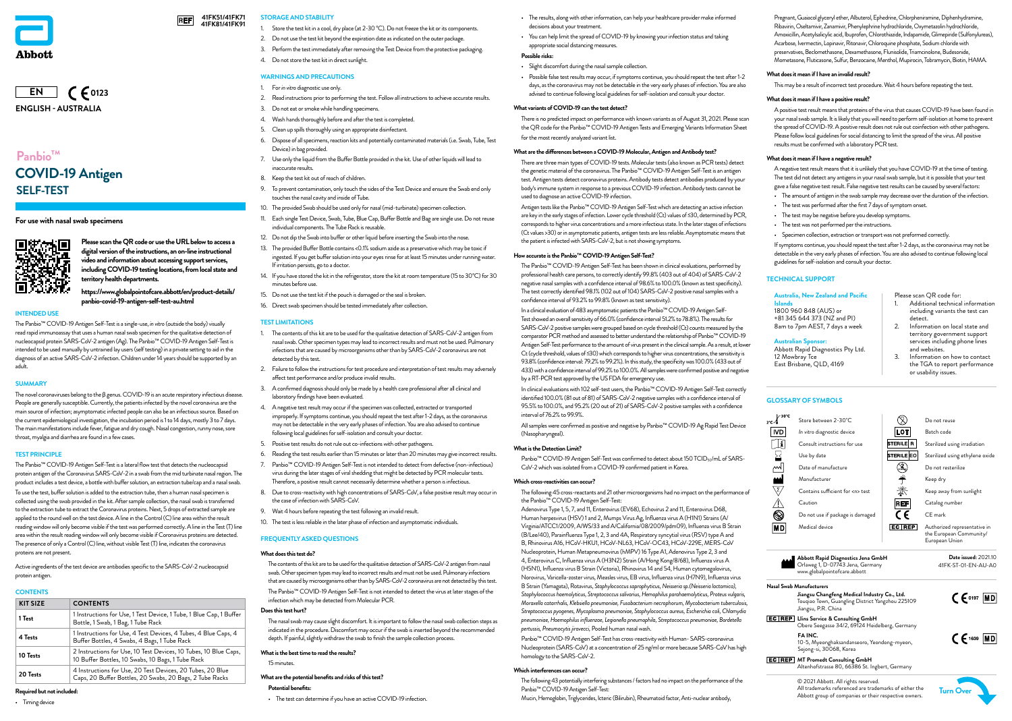### **STORAGE AND STABILITY**

- Store the test kit in a cool, dry place (at 2-30 °C). Do not freeze the kit or its components.
- 2. Do not use the test kit beyond the expiration date as indicated on the outer package.
- 3. Perform the test immediately after removing the Test Device from the protective packaging.
- 4. Do not store the test kit in direct sunlight.

### **WARNINGS AND PRECAUTIONS**

#### 1. For *in vitro* diagnostic use only.

- 2. Read instructions prior to performing the test. Follow all instructions to achieve accurate results.
- 3. Do not eat or smoke while handling specimens.
- 4. Wash hands thoroughly before and after the test is completed.
- 5. Clean up spills thoroughly using an appropriate disinfectant.
- 6. Dispose of all specimens, reaction kits and potentially contaminated materials (i.e. Swab, Tube, Test Device) in bag provided.
- 7. Use only the liquid from the Buffer Bottle provided in the kit. Use of other liquids will lead to inaccurate results.
- 8. Keep the test kit out of reach of children.
- 9. To prevent contamination, only touch the sides of the Test Device and ensure the Swab end only touches the nasal cavity and inside of Tube.
- 10. The provided Swab should be used only for nasal (mid-turbinate) specimen collection.
- 11. Each single Test Device, Swab, Tube, Blue Cap, Buffer Bottle and Bag are single use. Do not reuse individual components. The Tube Rack is reusable.
- 12. Do not dip the Swab into buffer or other liquid before inserting the Swab into the nose.
- 13. The provided Buffer Bottle contains <0.1% sodium azide as a preservative which may be toxic if ingested. If you get buffer solution into your eyes rinse for at least 15 minutes under running water. If irritation persists, go to a doctor.
- 14. If you have stored the kit in the refrigerator, store the kit at room temperature (15 to 30°C) for 30 minutes before use.
- 15. Do not use the test kit if the pouch is damaged or the seal is broken.
- 16. Direct swab specimen should be tested immediately after collection.

#### **TEST LIMITATIONS**

- 1. The contents of this kit are to be used for the qualitative detection of SARS-CoV-2 antigen from nasal swab. Other specimen types may lead to incorrect results and must not be used. Pulmonary infections that are caused by microorganisms other than by SARS-CoV-2 coronavirus are not detected by this test.
- 2. Failure to follow the instructions for test procedure and interpretation of test results may adversely affect test performance and/or produce invalid results.
- 3. A confirmed diagnosis should only be made by a health care professional after all clinical and laboratory findings have been evaluated.
- 4. A negative test result may occur if the specimen was collected, extracted or transported improperly. If symptoms continue, you should repeat the test after 1-2 days, as the coronavirus may not be detectable in the very early phases of infection. You are also advised to continue following local guidelines for self-isolation and consult your doctor.
- 5. Positive test results do not rule out co-infections with other pathogens.
- 6. Reading the test results earlier than 15 minutes or later than 20 minutes may give incorrect results.
- 7. Panbio™ COVID-19 Antigen Self-Test is not intended to detect from defective (non-infectious) virus during the later stages of viral shedding that might be detected by PCR molecular tests. Therefore, a positive result cannot necessarily determine whether a person is infectious.
- 8. Due to cross-reactivity with high concentrations of SARS-CoV, a false positive result may occur in the case of infection with SARS-CoV.
- 9. Wait 4 hours before repeating the test following an invalid result.
- 10. The test is less reliable in the later phase of infection and asymptomatic individuals.

#### **FREQUENTLY ASKED QUESTIONS**

#### **What does this test do?**

The contents of this kit are to be used for the qualitative detection of SARS-CoV-2 antigen from nasal swab. Other specimen types may lead to incorrect results and must not be used. Pulmonary infections that are caused by microorganisms other than by SARS-CoV-2 coronavirus are not detected by this test. The Panbio™ COVID-19 Antigen Self-Test is not intended to detect the virus at later stages of the infection which may be detected from Molecular PCR.

#### **Does this test hurt?**

The nasal swab may cause slight discomfort. It is important to follow the nasal swab collection steps as indicated in the procedure. Discomfort may occur if the swab is inserted beyond the recommended depth. If painful, slightly withdraw the swab to finish the sample collection process.

#### **What is the best time to read the results?**

15 minutes.

#### **What are the potential benefits and risks of this test?**

#### **Potential benefits:**

• The test can determine if you have an active COVID-19 infection.

# **Panbio™ SELF-TEST COVID-19 Antigen**

**For use with nasal swab specimens**



Pregnant, Guaiacol glyceryl ether, Albuterol, Ephedrine, Chlorpheniramine, Diphenhydramine, Ribavirin, Oseltamivir, Zanamivir, Phenylephrine hydrochloride, Oxymetazolin hydrochloride, Amoxicillin, Acetylsalicylic acid, Ibuprofen, Chlorothiazide, Indapamide, Glimepiride (Sulfonylureas), Acarbose, Ivermectin, Lopinavir, Ritonavir, Chloroquine phosphate, Sodium chloride with preservatives, Beclomethasone, Dexamethasone, Flunisolide, Triamcinolone, Budesonide, Mometasone, Fluticasone, Sulfur, Benzocaine, Menthol, Mupirocin, Tobramycin, Biotin, HAMA.

Panbio<sup>™</sup> COVID-19 Antigen Self-Test was confirmed to detect about 150 TCID<sub>50</sub>/mL of SARS-CoV-2 which was isolated from a COVID-19 confirmed patient in Korea.

### **What does it mean if I have an invalid result?**

This may be a result of incorrect test procedure. Wait 4 hours before repeating the test.

#### **What does it mean if I have a positive result?**

A positive test result means that proteins of the virus that causes COVID-19 have been found in your nasal swab sample. It is likely that you will need to perform self-isolation at home to prevent the spread of COVID-19. A positive result does not rule out coinfection with other pathogens. Please follow local guidelines for social distancing to limit the spread of the virus. All positive results must be confirmed with a laboratory PCR test.

#### **What does it mean if I have a negative result?**

A negative test result means that it is unlikely that you have COVID-19 at the time of testing. The test did not detect any antigens in your nasal swab sample, but it is possible that your test gave a false negative test result. False negative test results can be caused by several factors:

- The amount of antigen in the swab sample may decrease over the duration of the infection.
- The test was performed after the first 7 days of symptom onset.
- The test may be negative before you develop symptoms.
- The test was not performed per the instructions.
- Specimen collection, extraction or transport was not preformed correctly.

- Additional technical information including variants the test can detect.
- 2. Information on local state and territory government support services including phone lines and websites.
- 3. Information on how to contact the TGA to report performance or usability issues.

If symptoms continue, you should repeat the test after 1-2 days, as the coronavirus may not be detectable in the very early phases of infection. You are also advised to continue following local guidelines for self-isolation and consult your doctor.



- The results, along with other information, can help your healthcare provider make informed decisions about your treatment.
- You can help limit the spread of COVID-19 by knowing your infection status and taking appropriate social distancing measures.

# **Possible risks:**

- Slight discomfort during the nasal sample collection.
- Possible false test results may occur, if symptoms continue, you should repeat the test after 1-2 days, as the coronavirus may not be detectable in the very early phases of infection. You are also advised to continue following local guidelines for self-isolation and consult your doctor.

### **What variants of COVID-19 can the test detect?**

Active ingredients of the test device are antibodies specific to the SARS-CoV-2 nucleocapsid protein antiger

There is no predicted impact on performance with known variants as of August 31, 2021. Please scan the QR code for the Panbio™ COVID-19 Antigen Tests and Emerging Variants Information Sheet for the most recently analyzed variant list.

#### **What are the differences between a COVID-19 Molecular, Antigen and Antibody test?**

There are three main types of COVID-19 tests. Molecular tests (also known as PCR tests) detect the genetic material of the coronavirus. The Panbio™ COVID-19 Antigen Self-Test is an antigen test. Antigen tests detect coronavirus proteins. Antibody tests detect antibodies produced by your body's immune system in response to a previous COVID-19 infection. Antibody tests cannot be used to diagnose an active COVID-19 infection.

Antigen tests like the Panbio™ COVID-19 Antigen Self-Test which are detecting an active infection are key in the early stages of infection. Lower cycle threshold (Ct) values of ≤30, determined by PCR, corresponds to higher virus concentrations and a more infectious state. In the later stages of infections (Ct values >30) or in asymptomatic patients, antigen tests are less reliable. Asymptomatic means that the patient is infected with SARS-CoV-2, but is not showing symptoms.

#### **How accurate is the Panbio™ COVID-19 Antigen Self-Test?**

The Panbio™ COVID-19 Antigen Self-Test has been shown in clinical evaluations, performed by professional health care persons, to correctly identify 99.8% (403 out of 404) of SARS-CoV-2 negative nasal samples with a confidence interval of 98.6% to 100.0% (known as test specificity). The test correctly identified 98.1% (102 out of 104) SARS-CoV-2 positive nasal samples with a confidence interval of 93.2% to 99.8% (known as test sensitivity).

In a clinical evaluation of 483 asymptomatic patients the Panbio™ COVID-19 Antigen Self-Test showed an overall sensitivity of 66.0% (confidence interval 51.2% to 78.8%). The results for SARS-CoV-2 positive samples were grouped based on cycle threshold (Ct) counts measured by the comparator PCR method and assessed to better understand the relationship of Panbio™ COVID-19 Antigen Self-Test performance to the amount of virus present in the clinical sample. As a result, at lower Ct (cycle threshold, values of ≤30) which corresponds to higher virus concentrations, the sensitivity is 93.8% (confidence interval: 79.2% to 99.2%). In this study, the specificity was 100.0% (433 out of 433) with a confidence interval of 99.2% to 100.0%. All samples were confirmed positive and negative by a RT-PCR test approved by the US FDA for emergency use.

In clinical evaluations with 102 self-test users, the Panbio™ COVID-19 Antigen Self-Test correctly identified 100.0% (81 out of 81) of SARS-CoV-2 negative samples with a confidence interval of 95.5% to 100.0%, and 95.2% (20 out of 21) of SARS-CoV-2 positive samples with a confidence interval of 76.2% to 99.9%.

All samples were confirmed as positive and negative by Panbio™ COVID-19 Ag Rapid Test Device (Nasopharyngeal).

#### **What is the Detection Limit?**





#### **Which cross-reactivities can occur?**

The following 45 cross-reactants and 21 other microorganisms had no impact on the performance of the Panbio™ COVID-19 Antigen Self-Test:

Adenovirus Type 1, 5, 7, and 11, Enterovirus (EV68), Echovirus 2 and 11, Enterovirus D68, Human herpesvirus (HSV) 1 and 2, Mumps Virus Ag, Influenza virus A (H1N1) Strains (A/ Virginia/ATCC1/2009, A/WS/33 and A/California/08/2009/pdm09), Influenza virus B Strain (B/Lee/40), Parainfluenza Type 1, 2, 3 and 4A, Respiratory syncytial virus (RSV) type A and B, Rhinovirus A16, HCoV-HKU1, HCoV-NL63, HCoV-OC43, HCoV-229E, MERS-CoV Nucleoprotein, Human Metapneumovirus (hMPV) 16 Type A1, Adenovirus Type 2, 3 and 4, Enterovirus C, Influenza virus A (H3N2) Strain (A/Hong Kong/8/68), Influenza virus A (H5N1), Influenza virus B Strain (Victoria), Rhinovirus 14 and 54, Human cytomegalovirus, Norovirus, Varicella-zoster virus, Measles virus, EB virus, Influenza virus (H7N9), Influenza virus B Strain (Yamagata), Rotavirus, *Staphylococcus saprophyticus, Neisseria sp.(Neisseria lactamica), Staphylococcus haemolyticus, Streptococcus salivarius, Hemophilus parahaemolyticus, Proteus vulgaris, Moraxella catarrhalis, Klebsiella pneumoniae, Fusobacterium necrophorum, Mycobacterium tuberculosis, Streptococcus pyogenes, Mycoplasma pneumoniae, Staphylococcus aureus, Escherichia coli, Chlamydia pneumoniae, Haemophilus influenzae, Legionella pneumophila, Streptococcus pneumoniae, Bordetella pertussis, Pneumocytis jirovecci,* Pooled human nasal wash.

Panbio™ COVID-19 Antigen Self-Test has cross-reactivity with Human- SARS-coronavirus Nucleoprotein (SARS-CoV) at a concentration of 25 ng/ml or more because SARS-CoV has high homology to the SARS-CoV-2.

#### **Which interferences can occur?**

The following 43 potentially interfering substances / factors had no impact on the performance of the Panbio™ COVID-19 Antigen Self-Test: Mucin, Hemoglobin, Triglycerides, Icteric (Bilirubin), Rheumatoid factor, Anti-nuclear antibody,

#### **Australia, New Zealand and Pacific Islands**  1800 960 848 (AUS) or

+81 345 644 373 (NZ and PI) 8am to 7pm AEST, 7 days a week

**Australian Sponsor:** Abbott Rapid Diagnostics Pty Ltd. 12 Mowbray Tce East Brisbane, QLD, 4169

Please scan QR code for:

### **TECHNICAL SUPPORT**

#### **INTENDED USE**

The Panbio™ COVID-19 Antigen Self-Test is a single-use, *in vitro* (outside the body) visually read rapid immunoassay that uses a human nasal swab specimen for the qualitative detection of nucleocapsid protein SARS-CoV-2 antigen (Ag). The Panbio™ COVID-19 Antigen Self-Test is intended to be used manually by untrained lay users (self testing) in a private setting to aid in the diagnosis of an active SARS-CoV-2 infection. Children under 14 years should be supported by an adult.

#### **SUMMARY**

The novel coronaviruses belong to the β genus. COVID-19 is an acute respiratory infectious disease. People are generally susceptible. Currently, the patients infected by the novel coronavirus are the main source of infection; asymptomatic infected people can also be an infectious source. Based on the current epidemiological investigation, the incubation period is 1 to 14 days, mostly 3 to 7 days. The main manifestations include fever, fatigue and dry cough. Nasal congestion, runny nose, sore throat, myalgia and diarrhea are found in a few cases.

#### **TEST PRINCIPLE**

The Panbio™ COVID-19 Antigen Self-Test is a lateral flow test that detects the nucleocapsid protein antigen of the Coronavirus SARS-CoV-2 in a swab from the mid turbinate nasal region. The product includes a test device, a bottle with buffer solution, an extraction tube/cap and a nasal swab.

To use the test, buffer solution is added to the extraction tube, then a human nasal specimen is collected using the swab provided in the kit. After sample collection, the nasal swab is transferred to the extraction tube to extract the Coronavirus proteins. Next, 5 drops of extracted sample are applied to the round well on the test device. A line in the Control (C) line area within the result reading window will only become visible if the test was performed correctly. A line in the Test (T) line area within the result reading window will only become visible if Coronavirus proteins are detected. The presence of only a Control (C) line, without visible Test (T) line, indicates the coronavirus proteins are not present.

#### **CONTENTS**

| <b>KIT SIZE</b> | <b>CONTENTS</b>                                                                                                        |  |
|-----------------|------------------------------------------------------------------------------------------------------------------------|--|
| 1 Test          | 1 Instructions for Use, 1 Test Device, 1 Tube, 1 Blue Cap, 1 Buffer<br>Bottle, 1 Swab, 1 Bag, 1 Tube Rack              |  |
| 4 Tests         | 1 Instructions for Use, 4 Test Devices, 4 Tubes, 4 Blue Caps, 4<br>Buffer Bottles, 4 Swabs, 4 Bags, 1 Tube Rack        |  |
| 10 Tests        | 2 Instructions for Use, 10 Test Devices, 10 Tubes, 10 Blue Caps,<br>10 Buffer Bottles, 10 Swabs, 10 Bags, 1 Tube Rack  |  |
| 20 Tests        | 4 Instructions for Use, 20 Test Devices, 20 Tubes, 20 Blue<br>Caps, 20 Buffer Bottles, 20 Swabs, 20 Bags, 2 Tube Racks |  |

#### **Required but not included:**

• Timing device

**Please scan the QR code or use the URL below to access a digital version of the instructions, an on-line instructional video and information about accessing support services, including COVID-19 testing locations, from local state and territory health departments.** 

**[https://www.globalpointofcare.abbott/en/product-details/](https://www.globalpointofcare.abbott/en/product-details/panbio-covid-19-antigen-self-test-au.html) [panbio-covid-19-antigen-self-test-au.html](https://www.globalpointofcare.abbott/en/product-details/panbio-covid-19-antigen-self-test-au.html)**

**41FK51/41FK71 41FK81/41FK91**

**REF** 

# **GLOSSARY OF SYMBOLS**

| 30°C<br>c- | Store between 2-30°C                 |                       | Do not reuse                                                              |
|------------|--------------------------------------|-----------------------|---------------------------------------------------------------------------|
| <b>IVD</b> | In vitro diagnostic device           | LOT                   | Batch code                                                                |
|            | Consult instructions for use         | <b>STERILE</b><br>R   | Sterilized using irradiation                                              |
|            | Use by date                          | <b>STERILE EO</b>     | Sterilized using ethylene oxide                                           |
| ᄴ          | Date of manufacture                  | $\sum_{\text{error}}$ | Do not resterilize                                                        |
|            | Manufacturer                         |                       | Keep dry                                                                  |
| Σ,         | Contains sufficient for <n> test</n> | 类                     | Keep away from sunlight                                                   |
|            | Caution                              | <b>REF</b>            | Catalog number                                                            |
|            | Do not use if package is damaged     | ( E                   | CE mark                                                                   |
| ΜD         | Medical device                       | EC REP                | Authorized representative in<br>the European Community/<br>European Union |

# **Llins Service & Consulting GmbH** Obere Seegasse 34/2, 69124 Heidelberg, Germany **FA INC.**

10-5, Myeonghaksandanseoro, Yeondong-myeon, Sejong-si, 30068, Korea

**Jiangsu Changfeng Medical Industry Co., Ltd.** Touqiao Town, Guangling District Yangzhou 225109 Jiangsu, P.R. China

© 2021 Abbott. All rights reserved. All trademarks referenced are trademarks of either the Abbott group of companies or their respective owners.

**Abbott Rapid Diagnostics Jena GmbH**  Orlaweg 1, D-07743 Jena, Germany www.globalpointofcare.abbott **Nasal Swab Manufacturers**

**Date issued:** 2021.10 41FK-ST-01-EN-AU-A0



**MT Promedt Consulting GmbH** Altenhofstrasse 80, 66386 St. Ingbert, Germany



 $C \in \mathsf{O197}$  MD